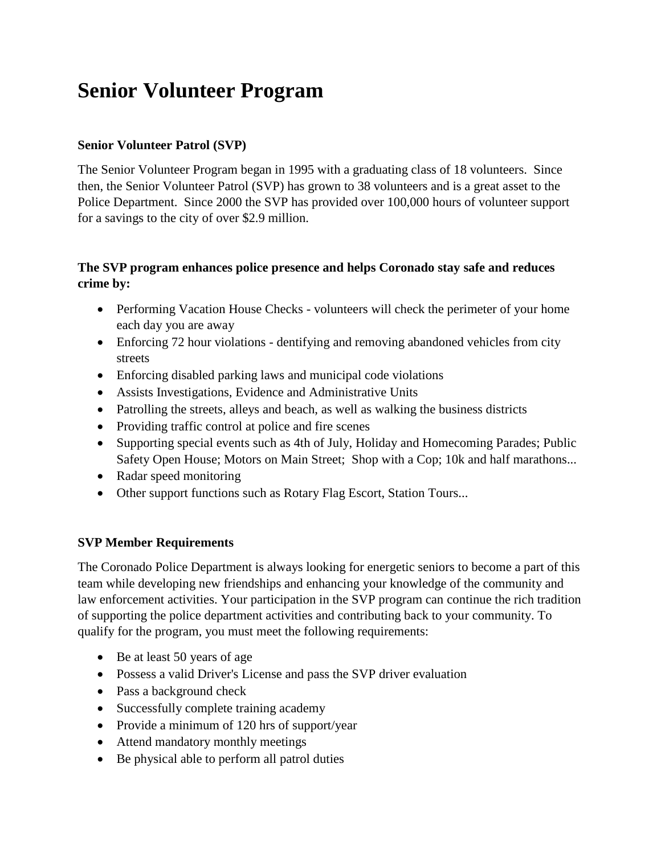## **Senior Volunteer Program**

## **Senior Volunteer Patrol (SVP)**

The Senior Volunteer Program began in 1995 with a graduating class of 18 volunteers. Since then, the Senior Volunteer Patrol (SVP) has grown to 38 volunteers and is a great asset to the Police Department. Since 2000 the SVP has provided over 100,000 hours of volunteer support for a savings to the city of over \$2.9 million.

## **The SVP program enhances police presence and helps Coronado stay safe and reduces crime by:**

- Performing Vacation House Checks volunteers will check the perimeter of your home each day you are away
- Enforcing 72 hour violations dentifying and removing abandoned vehicles from city streets
- Enforcing disabled parking laws and municipal code violations
- Assists Investigations, Evidence and Administrative Units
- Patrolling the streets, alleys and beach, as well as walking the business districts
- Providing traffic control at police and fire scenes
- Supporting special events such as 4th of July, Holiday and Homecoming Parades; Public Safety Open House; Motors on Main Street; Shop with a Cop; 10k and half marathons...
- Radar speed monitoring
- Other support functions such as Rotary Flag Escort, Station Tours...

## **SVP Member Requirements**

The Coronado Police Department is always looking for energetic seniors to become a part of this team while developing new friendships and enhancing your knowledge of the community and law enforcement activities. Your participation in the SVP program can continue the rich tradition of supporting the police department activities and contributing back to your community. To qualify for the program, you must meet the following requirements:

- Be at least 50 years of age
- Possess a valid Driver's License and pass the SVP driver evaluation
- Pass a background check
- Successfully complete training academy
- Provide a minimum of 120 hrs of support/year
- Attend mandatory monthly meetings
- Be physical able to perform all patrol duties